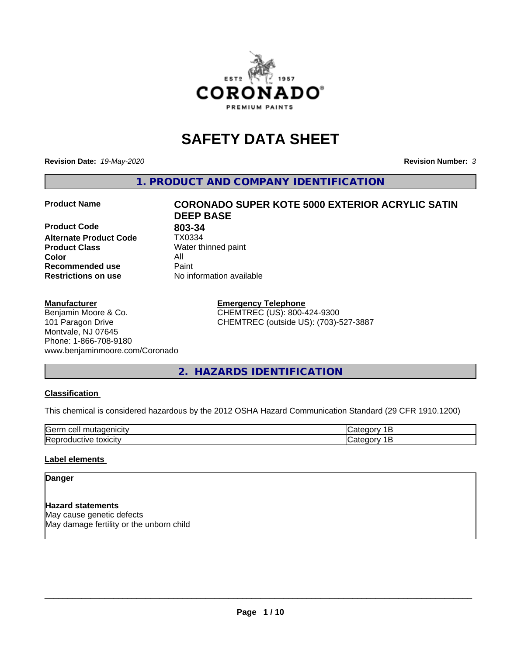

# **SAFETY DATA SHEET**

**Revision Date:** *19-May-2020* **Revision Number:** *3*

**1. PRODUCT AND COMPANY IDENTIFICATION**

**Product Code 803-34**<br>**Alternate Product Code 1X0334 Alternate Product Code Product Class** Water thinned paint<br> **Color** All **Color** All **Recommended use Caint Restrictions on use** No information available

#### **Manufacturer**

#### Benjamin Moore & Co. 101 Paragon Drive Montvale, NJ 07645 Phone: 1-866-708-9180 www.benjaminmoore.com/Coronado

# **Product Name CORONADO SUPER KOTE 5000 EXTERIOR ACRYLIC SATIN DEEP BASE**

**Emergency Telephone** CHEMTREC (US): 800-424-9300 CHEMTREC (outside US): (703)-527-3887

### **2. HAZARDS IDENTIFICATION**

#### **Classification**

This chemical is considered hazardous by the 2012 OSHA Hazard Communication Standard (29 CFR 1910.1200)

| $\sim$ $\sim$<br>---<br>kae:<br>$\cdot$ |  |
|-----------------------------------------|--|
| <b>Re</b><br>$-$<br>. X II              |  |

#### **Label elements**

#### **Danger**

**Hazard statements** May cause genetic defects May damage fertility or the unborn child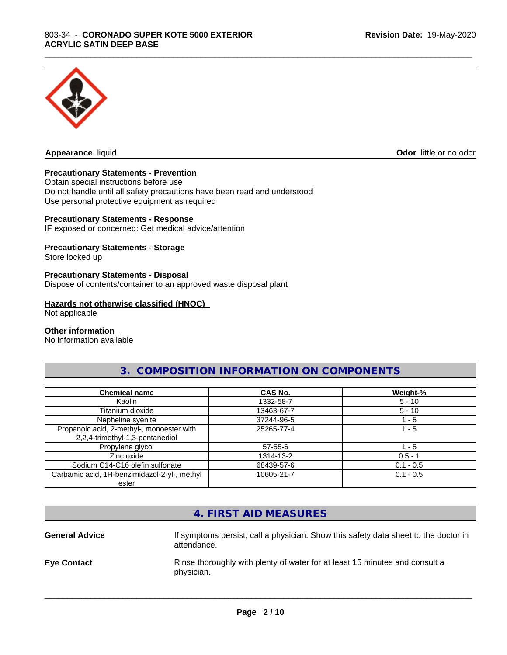

**Appearance** liquid **Odor in the original of the original of the original of the original of the original of the original of the original of the original of the original of the original of the original of the original of t** 

#### **Precautionary Statements - Prevention**

Obtain special instructions before use Do not handle until all safety precautions have been read and understood Use personal protective equipment as required

#### **Precautionary Statements - Response**

IF exposed or concerned: Get medical advice/attention

#### **Precautionary Statements - Storage**

Store locked up

#### **Precautionary Statements - Disposal**

Dispose of contents/container to an approved waste disposal plant

#### **Hazards not otherwise classified (HNOC)**

Not applicable

#### **Other information**

No information available

#### **3. COMPOSITION INFORMATION ON COMPONENTS**

\_\_\_\_\_\_\_\_\_\_\_\_\_\_\_\_\_\_\_\_\_\_\_\_\_\_\_\_\_\_\_\_\_\_\_\_\_\_\_\_\_\_\_\_\_\_\_\_\_\_\_\_\_\_\_\_\_\_\_\_\_\_\_\_\_\_\_\_\_\_\_\_\_\_\_\_\_\_\_\_\_\_\_\_\_\_\_\_\_\_\_\_\_

| <b>Chemical name</b>                         | CAS No.    | Weight-%    |
|----------------------------------------------|------------|-------------|
| Kaolin                                       | 1332-58-7  | $5 - 10$    |
| Titanium dioxide                             | 13463-67-7 | $5 - 10$    |
| Nepheline syenite                            | 37244-96-5 | - 5         |
| Propanoic acid, 2-methyl-, monoester with    | 25265-77-4 | 1 - 5       |
| 2,2,4-trimethyl-1,3-pentanediol              |            |             |
| Propylene glycol                             | 57-55-6    | $-5$        |
| Zinc oxide                                   | 1314-13-2  | $0.5 - 1$   |
| Sodium C14-C16 olefin sulfonate              | 68439-57-6 | $0.1 - 0.5$ |
| Carbamic acid, 1H-benzimidazol-2-yl-, methyl | 10605-21-7 | $0.1 - 0.5$ |
| ester                                        |            |             |

|                       | 4. FIRST AID MEASURES                                                                              |
|-----------------------|----------------------------------------------------------------------------------------------------|
| <b>General Advice</b> | If symptoms persist, call a physician. Show this safety data sheet to the doctor in<br>attendance. |
| <b>Eye Contact</b>    | Rinse thoroughly with plenty of water for at least 15 minutes and consult a<br>physician.          |
|                       |                                                                                                    |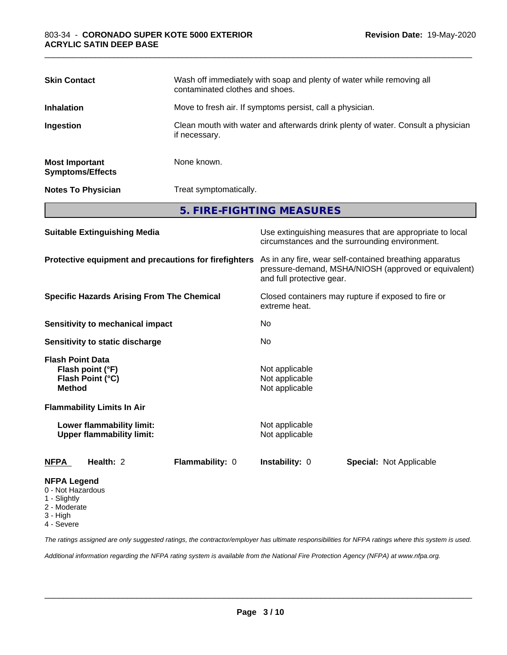| <b>Skin Contact</b>                              | Wash off immediately with soap and plenty of water while removing all<br>contaminated clothes and shoes. |
|--------------------------------------------------|----------------------------------------------------------------------------------------------------------|
| <b>Inhalation</b>                                | Move to fresh air. If symptoms persist, call a physician.                                                |
| Ingestion                                        | Clean mouth with water and afterwards drink plenty of water. Consult a physician<br>if necessary.        |
| <b>Most Important</b><br><b>Symptoms/Effects</b> | None known.                                                                                              |
| <b>Notes To Physician</b>                        | Treat symptomatically.                                                                                   |
|                                                  | 5. FIRE-FIGHTING MEASURES                                                                                |

| <b>Suitable Extinguishing Media</b>                                              | Use extinguishing measures that are appropriate to local<br>circumstances and the surrounding environment.                                   |  |  |
|----------------------------------------------------------------------------------|----------------------------------------------------------------------------------------------------------------------------------------------|--|--|
| Protective equipment and precautions for firefighters                            | As in any fire, wear self-contained breathing apparatus<br>pressure-demand, MSHA/NIOSH (approved or equivalent)<br>and full protective gear. |  |  |
| <b>Specific Hazards Arising From The Chemical</b>                                | Closed containers may rupture if exposed to fire or<br>extreme heat.                                                                         |  |  |
| <b>Sensitivity to mechanical impact</b>                                          | No.                                                                                                                                          |  |  |
| <b>Sensitivity to static discharge</b>                                           | No.                                                                                                                                          |  |  |
| <b>Flash Point Data</b><br>Flash point (°F)<br>Flash Point (°C)<br><b>Method</b> | Not applicable<br>Not applicable<br>Not applicable                                                                                           |  |  |
| <b>Flammability Limits In Air</b>                                                |                                                                                                                                              |  |  |
| Lower flammability limit:<br><b>Upper flammability limit:</b>                    | Not applicable<br>Not applicable                                                                                                             |  |  |
| Health: 2<br>Flammability: 0<br>NFPA                                             | <b>Instability: 0</b><br><b>Special: Not Applicable</b>                                                                                      |  |  |
| <b>NFPA Legend</b><br>0 - Not Hazardous<br>1 - Slightly                          |                                                                                                                                              |  |  |

- 2 Moderate
- 
- 3 High
- 4 Severe

*The ratings assigned are only suggested ratings, the contractor/employer has ultimate responsibilities for NFPA ratings where this system is used.*

*Additional information regarding the NFPA rating system is available from the National Fire Protection Agency (NFPA) at www.nfpa.org.*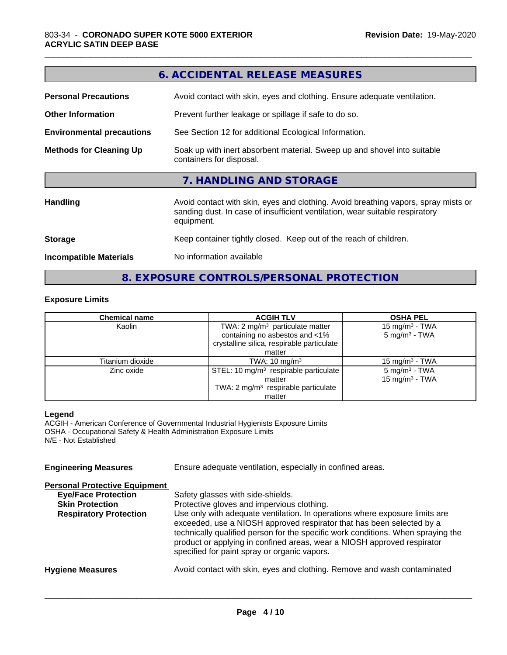|                                  | 6. ACCIDENTAL RELEASE MEASURES                                                                                                                                                   |  |  |
|----------------------------------|----------------------------------------------------------------------------------------------------------------------------------------------------------------------------------|--|--|
| <b>Personal Precautions</b>      | Avoid contact with skin, eyes and clothing. Ensure adequate ventilation.                                                                                                         |  |  |
| <b>Other Information</b>         | Prevent further leakage or spillage if safe to do so.                                                                                                                            |  |  |
| <b>Environmental precautions</b> | See Section 12 for additional Ecological Information.                                                                                                                            |  |  |
| <b>Methods for Cleaning Up</b>   | Soak up with inert absorbent material. Sweep up and shovel into suitable<br>containers for disposal.                                                                             |  |  |
|                                  | 7. HANDLING AND STORAGE                                                                                                                                                          |  |  |
| <b>Handling</b>                  | Avoid contact with skin, eyes and clothing. Avoid breathing vapors, spray mists or<br>sanding dust. In case of insufficient ventilation, wear suitable respiratory<br>equipment. |  |  |
| <b>Storage</b>                   | Keep container tightly closed. Keep out of the reach of children.                                                                                                                |  |  |
| <b>Incompatible Materials</b>    | No information available                                                                                                                                                         |  |  |

## **8. EXPOSURE CONTROLS/PERSONAL PROTECTION**

#### **Exposure Limits**

| <b>Chemical name</b> | <b>ACGIH TLV</b>                                | <b>OSHA PEL</b>            |
|----------------------|-------------------------------------------------|----------------------------|
| Kaolin               | TWA: $2 \text{ mg/m}^3$ particulate matter      | 15 mg/m <sup>3</sup> - TWA |
|                      | containing no asbestos and <1%                  | $5 \text{ mg/m}^3$ - TWA   |
|                      | crystalline silica, respirable particulate      |                            |
|                      | matter                                          |                            |
| Titanium dioxide     | TWA: $10 \text{ mg/m}^3$                        | 15 mg/m $3$ - TWA          |
| Zinc oxide           | STEL: 10 $mg/m3$ respirable particulate         | $5 \text{ mg/m}^3$ - TWA   |
|                      | matter                                          | 15 mg/m <sup>3</sup> - TWA |
|                      | TWA: 2 mg/m <sup>3</sup> respirable particulate |                            |
|                      | matter                                          |                            |

#### **Legend**

ACGIH - American Conference of Governmental Industrial Hygienists Exposure Limits OSHA - Occupational Safety & Health Administration Exposure Limits N/E - Not Established

**Engineering Measures** Ensure adequate ventilation, especially in confined areas.

#### **Personal Protective Equipment**

| <b>Eye/Face Protection</b><br><b>Skin Protection</b><br><b>Respiratory Protection</b> | Safety glasses with side-shields.<br>Protective gloves and impervious clothing.<br>Use only with adequate ventilation. In operations where exposure limits are<br>exceeded, use a NIOSH approved respirator that has been selected by a<br>technically qualified person for the specific work conditions. When spraying the<br>product or applying in confined areas, wear a NIOSH approved respirator<br>specified for paint spray or organic vapors. |
|---------------------------------------------------------------------------------------|--------------------------------------------------------------------------------------------------------------------------------------------------------------------------------------------------------------------------------------------------------------------------------------------------------------------------------------------------------------------------------------------------------------------------------------------------------|
| <b>Hygiene Measures</b>                                                               | Avoid contact with skin, eyes and clothing. Remove and wash contaminated                                                                                                                                                                                                                                                                                                                                                                               |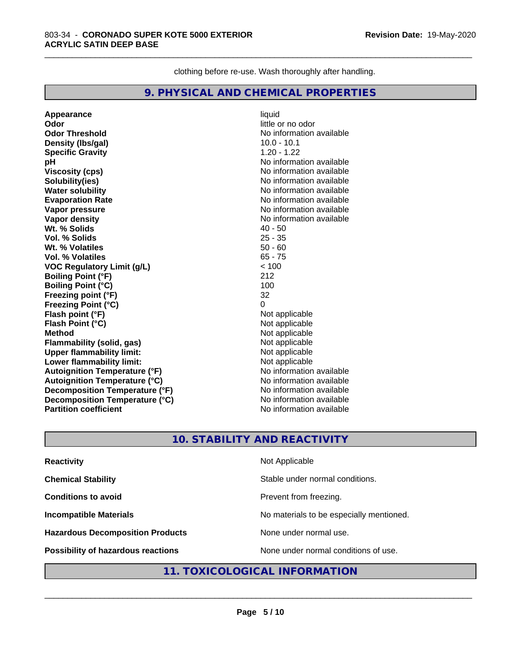clothing before re-use. Wash thoroughly after handling.

\_\_\_\_\_\_\_\_\_\_\_\_\_\_\_\_\_\_\_\_\_\_\_\_\_\_\_\_\_\_\_\_\_\_\_\_\_\_\_\_\_\_\_\_\_\_\_\_\_\_\_\_\_\_\_\_\_\_\_\_\_\_\_\_\_\_\_\_\_\_\_\_\_\_\_\_\_\_\_\_\_\_\_\_\_\_\_\_\_\_\_\_\_

#### **9. PHYSICAL AND CHEMICAL PROPERTIES**

**Appearance** liquid **Odor** little or no odor **Odor Threshold** No information available **Density (Ibs/gal)** 10.0 - 10.1<br> **Specific Gravity** 1.20 - 1.22 **Specific Gravity pH pH**  $\blacksquare$ **Viscosity (cps)** No information available **Solubility(ies)** No information available **Water solubility**<br> **Evaporation Rate**<br> **Evaporation Rate**<br> **Evaporation Rate Vapor pressure** No information available **Vapor density**<br> **We Solid Wit.** % Solids<br>
We have the solid with the solid with the solid with the solid with the solid with the solid with the solid with the solid with the solid with the solid with the solid with the so Wt. % Solids **Vol. % Solids** 25 - 35 **Wt. % Volatiles** 50 - 60 **Vol. % Volatiles VOC Regulatory Limit (g/L)** < 100 **Boiling Point (°F)** 212 **Boiling Point (°C)** 100 **Freezing point (°F)** 32 **Freezing Point (°C) Flash point (°F)**<br> **Flash Point (°C)**<br> **Flash Point (°C)**<br> **Compare Server All Alta Annual Mothematic Not applicable Flash Point (°C) Method**<br> **Flammability (solid. gas)**<br> **Example 2018** Not applicable **Flammability** (solid, gas) **Upper flammability limit:**<br> **Lower flammability limit:** Not applicable Not applicable **Lower flammability limit: Autoignition Temperature (°F)** No information available **Autoignition Temperature (°C)**<br> **Decomposition Temperature (°F)** No information available **Decomposition Temperature (°F) Decomposition Temperature (°C)** No information available<br> **Partition coefficient Partition available Partition coefficient** 

**Evaporation Rate** No information available

#### **10. STABILITY AND REACTIVITY**

| <b>Reactivity</b>                       | Not Applicable                           |
|-----------------------------------------|------------------------------------------|
| <b>Chemical Stability</b>               | Stable under normal conditions.          |
| <b>Conditions to avoid</b>              | Prevent from freezing.                   |
| <b>Incompatible Materials</b>           | No materials to be especially mentioned. |
| <b>Hazardous Decomposition Products</b> | None under normal use.                   |
| Possibility of hazardous reactions      | None under normal conditions of use.     |

#### **11. TOXICOLOGICAL INFORMATION**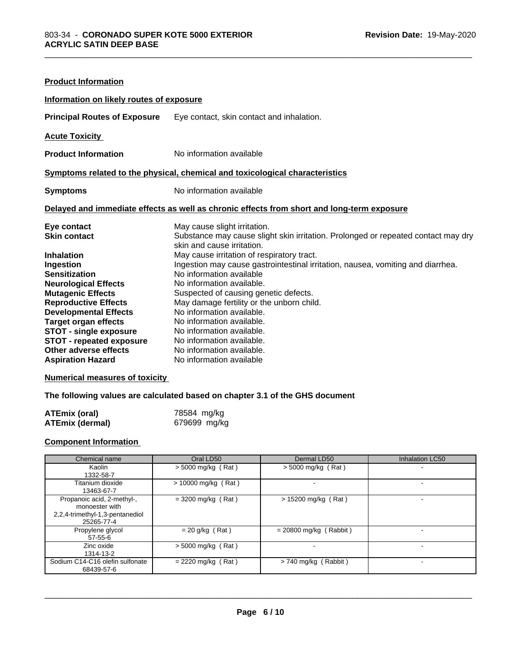| <b>Product Information</b>                                                                                                                                                                                                                                                                                                                         |                                                                                                                                                                                                                                                                                                                                                                                                                                                                                                                                                                                  |  |  |
|----------------------------------------------------------------------------------------------------------------------------------------------------------------------------------------------------------------------------------------------------------------------------------------------------------------------------------------------------|----------------------------------------------------------------------------------------------------------------------------------------------------------------------------------------------------------------------------------------------------------------------------------------------------------------------------------------------------------------------------------------------------------------------------------------------------------------------------------------------------------------------------------------------------------------------------------|--|--|
| Information on likely routes of exposure                                                                                                                                                                                                                                                                                                           |                                                                                                                                                                                                                                                                                                                                                                                                                                                                                                                                                                                  |  |  |
| <b>Principal Routes of Exposure</b>                                                                                                                                                                                                                                                                                                                | Eye contact, skin contact and inhalation.                                                                                                                                                                                                                                                                                                                                                                                                                                                                                                                                        |  |  |
| <b>Acute Toxicity</b>                                                                                                                                                                                                                                                                                                                              |                                                                                                                                                                                                                                                                                                                                                                                                                                                                                                                                                                                  |  |  |
| <b>Product Information</b>                                                                                                                                                                                                                                                                                                                         | No information available                                                                                                                                                                                                                                                                                                                                                                                                                                                                                                                                                         |  |  |
| Symptoms related to the physical, chemical and toxicological characteristics                                                                                                                                                                                                                                                                       |                                                                                                                                                                                                                                                                                                                                                                                                                                                                                                                                                                                  |  |  |
| <b>Symptoms</b>                                                                                                                                                                                                                                                                                                                                    | No information available                                                                                                                                                                                                                                                                                                                                                                                                                                                                                                                                                         |  |  |
|                                                                                                                                                                                                                                                                                                                                                    | Delayed and immediate effects as well as chronic effects from short and long-term exposure                                                                                                                                                                                                                                                                                                                                                                                                                                                                                       |  |  |
| Eye contact<br><b>Skin contact</b><br><b>Inhalation</b><br>Ingestion<br><b>Sensitization</b><br><b>Neurological Effects</b><br><b>Mutagenic Effects</b><br><b>Reproductive Effects</b><br><b>Developmental Effects</b><br><b>Target organ effects</b><br><b>STOT - single exposure</b><br><b>STOT - repeated exposure</b><br>Other adverse effects | May cause slight irritation.<br>Substance may cause slight skin irritation. Prolonged or repeated contact may dry<br>skin and cause irritation.<br>May cause irritation of respiratory tract.<br>Ingestion may cause gastrointestinal irritation, nausea, vomiting and diarrhea.<br>No information available<br>No information available.<br>Suspected of causing genetic defects.<br>May damage fertility or the unborn child.<br>No information available.<br>No information available.<br>No information available.<br>No information available.<br>No information available. |  |  |

#### **Numerical measures of toxicity**

#### **The following values are calculated based on chapter 3.1 of the GHS document**

| ATEmix (oral)          | 78584 mg/kg  |
|------------------------|--------------|
| <b>ATEmix (dermal)</b> | 679699 mg/kg |

#### **Component Information**

| Chemical name                                                                                 | Oral LD50             | Dermal LD50              | Inhalation LC50 |
|-----------------------------------------------------------------------------------------------|-----------------------|--------------------------|-----------------|
| Kaolin<br>1332-58-7                                                                           | $>$ 5000 mg/kg (Rat)  | $>$ 5000 mg/kg (Rat)     |                 |
| Titanium dioxide<br>13463-67-7                                                                | $> 10000$ mg/kg (Rat) | ۰.                       |                 |
| Propanoic acid, 2-methyl-,<br>monoester with<br>2,2,4-trimethyl-1,3-pentanediol<br>25265-77-4 | $=$ 3200 mg/kg (Rat)  | $> 15200$ mg/kg (Rat)    |                 |
| Propylene glycol<br>$57 - 55 - 6$                                                             | $= 20$ g/kg (Rat)     | $= 20800$ mg/kg (Rabbit) |                 |
| Zinc oxide<br>1314-13-2                                                                       | $>$ 5000 mg/kg (Rat)  |                          |                 |
| Sodium C14-C16 olefin sulfonate<br>68439-57-6                                                 | $= 2220$ mg/kg (Rat)  | $>$ 740 mg/kg (Rabbit)   |                 |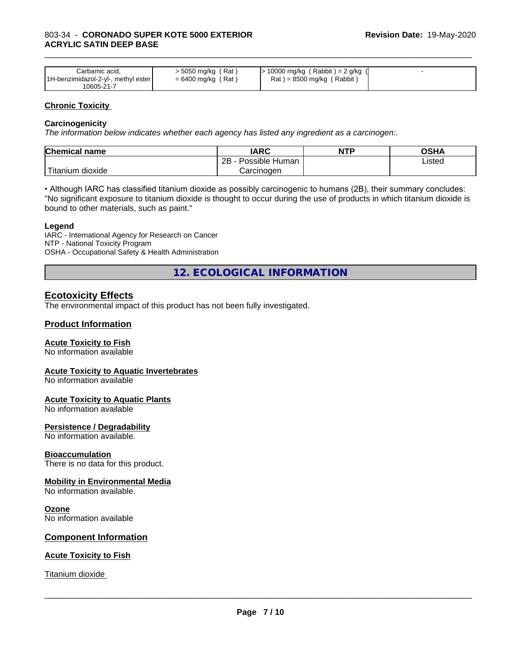| Carbamic acid.                      | > 5050 mg/kg (Rat)   | ⋅ 10000 mg/kg (Rabbit) = 2 g/kg + |  |
|-------------------------------------|----------------------|-----------------------------------|--|
| 1H-benzimidazol-2-yl-, methyl ester | $= 6400$ mg/kg (Rat) | $Rat$ = 8500 mg/kg (Rabbit)       |  |
| 10605-21-7                          |                      |                                   |  |

#### **Chronic Toxicity**

#### **Carcinogenicity**

*The information below indicateswhether each agency has listed any ingredient as a carcinogen:.*

| <b>Chemical name</b>             | <b>IARC</b>                    | <b>NTP</b> | <b>OCU</b><br>∪וכ |
|----------------------------------|--------------------------------|------------|-------------------|
|                                  | .<br>2B<br>: Human<br>Possible |            | Listed            |
| .<br>, dioxide<br><b>itanium</b> | Carcinoɑen                     |            |                   |

• Although IARC has classified titanium dioxide as possibly carcinogenic to humans (2B), their summary concludes: "No significant exposure to titanium dioxide is thought to occur during the use of products in which titanium dioxide is bound to other materials, such as paint."

#### **Legend**

IARC - International Agency for Research on Cancer NTP - National Toxicity Program OSHA - Occupational Safety & Health Administration

**12. ECOLOGICAL INFORMATION**

#### **Ecotoxicity Effects**

The environmental impact of this product has not been fully investigated.

#### **Product Information**

#### **Acute Toxicity to Fish**

No information available

#### **Acute Toxicity to Aquatic Invertebrates**

No information available

#### **Acute Toxicity to Aquatic Plants**

No information available

#### **Persistence / Degradability**

No information available.

#### **Bioaccumulation**

There is no data for this product.

#### **Mobility in Environmental Media**

No information available.

#### **Ozone**

No information available

#### **Component Information**

#### **Acute Toxicity to Fish**

Titanium dioxide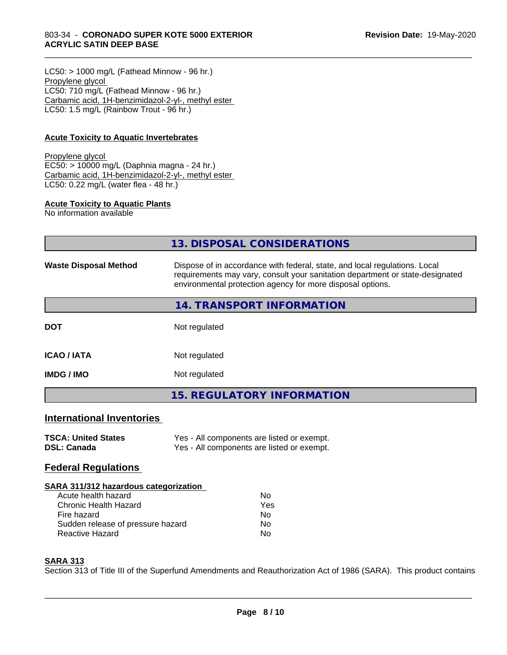#### 803-34 - **CORONADO SUPER KOTE 5000 EXTERIOR ACRYLIC SATIN DEEP BASE**

 $LC50:$  > 1000 mg/L (Fathead Minnow - 96 hr.) Propylene glycol LC50: 710 mg/L (Fathead Minnow - 96 hr.) Carbamic acid, 1H-benzimidazol-2-yl-, methyl ester LC50: 1.5 mg/L (Rainbow Trout - 96 hr.)

#### **Acute Toxicity to Aquatic Invertebrates**

#### Propylene glycol EC50: > 10000 mg/L (Daphnia magna - 24 hr.) Carbamic acid, 1H-benzimidazol-2-yl-, methyl ester LC50: 0.22 mg/L (water flea - 48 hr.)

#### **Acute Toxicity to Aquatic Plants**

No information available

|                                  | 13. DISPOSAL CONSIDERATIONS                                                                                                                                                                                               |
|----------------------------------|---------------------------------------------------------------------------------------------------------------------------------------------------------------------------------------------------------------------------|
| <b>Waste Disposal Method</b>     | Dispose of in accordance with federal, state, and local regulations. Local<br>requirements may vary, consult your sanitation department or state-designated<br>environmental protection agency for more disposal options. |
|                                  | 14. TRANSPORT INFORMATION                                                                                                                                                                                                 |
| <b>DOT</b>                       | Not regulated                                                                                                                                                                                                             |
| <b>ICAO/IATA</b>                 | Not regulated                                                                                                                                                                                                             |
| <b>IMDG / IMO</b>                | Not regulated                                                                                                                                                                                                             |
|                                  | <b>15. REGULATORY INFORMATION</b>                                                                                                                                                                                         |
| <b>International Inventories</b> |                                                                                                                                                                                                                           |
|                                  |                                                                                                                                                                                                                           |

\_\_\_\_\_\_\_\_\_\_\_\_\_\_\_\_\_\_\_\_\_\_\_\_\_\_\_\_\_\_\_\_\_\_\_\_\_\_\_\_\_\_\_\_\_\_\_\_\_\_\_\_\_\_\_\_\_\_\_\_\_\_\_\_\_\_\_\_\_\_\_\_\_\_\_\_\_\_\_\_\_\_\_\_\_\_\_\_\_\_\_\_\_

| <b>TSCA: United States</b> | Yes - All components are listed or exempt. |
|----------------------------|--------------------------------------------|
| DSL: Canada                | Yes - All components are listed or exempt. |

#### **Federal Regulations**

#### **SARA 311/312 hazardous categorization**

| Acute health hazard               | N٥  |
|-----------------------------------|-----|
| Chronic Health Hazard             | Yes |
| Fire hazard                       | Nο  |
| Sudden release of pressure hazard | Nο  |
| Reactive Hazard                   | N٥  |

#### **SARA 313**

Section 313 of Title III of the Superfund Amendments and Reauthorization Act of 1986 (SARA). This product contains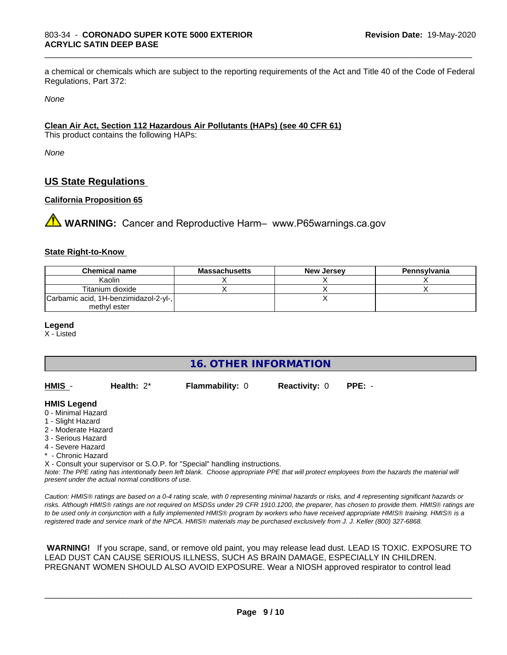a chemical or chemicals which are subject to the reporting requirements of the Act and Title 40 of the Code of Federal Regulations, Part 372:

\_\_\_\_\_\_\_\_\_\_\_\_\_\_\_\_\_\_\_\_\_\_\_\_\_\_\_\_\_\_\_\_\_\_\_\_\_\_\_\_\_\_\_\_\_\_\_\_\_\_\_\_\_\_\_\_\_\_\_\_\_\_\_\_\_\_\_\_\_\_\_\_\_\_\_\_\_\_\_\_\_\_\_\_\_\_\_\_\_\_\_\_\_

*None*

#### **Clean Air Act,Section 112 Hazardous Air Pollutants (HAPs) (see 40 CFR 61)**

This product contains the following HAPs:

*None*

#### **US State Regulations**

#### **California Proposition 65**

**A WARNING:** Cancer and Reproductive Harm– www.P65warnings.ca.gov

#### **State Right-to-Know**

| <b>Chemical name</b>                  | <b>Massachusetts</b> | <b>New Jersey</b> | Pennsylvania |
|---------------------------------------|----------------------|-------------------|--------------|
| Kaolin                                |                      |                   |              |
| Titanium dioxide                      |                      |                   |              |
| Carbamic acid, 1H-benzimidazol-2-yl-, |                      |                   |              |
| methyl ester                          |                      |                   |              |

#### **Legend**

X - Listed

#### **16. OTHER INFORMATION**

| HMIS | Health: $2^*$ | <b>Flammability: 0</b> | <b>Reactivity: 0 PPE: -</b> |  |
|------|---------------|------------------------|-----------------------------|--|
|      |               |                        |                             |  |

#### **HMIS Legend**

- 0 Minimal Hazard
- 1 Slight Hazard
- 2 Moderate Hazard
- 3 Serious Hazard
- 4 Severe Hazard
- \* Chronic Hazard

X - Consult your supervisor or S.O.P. for "Special" handling instructions.

*Note: The PPE rating has intentionally been left blank. Choose appropriate PPE that will protect employees from the hazards the material will present under the actual normal conditions of use.*

*Caution: HMISÒ ratings are based on a 0-4 rating scale, with 0 representing minimal hazards or risks, and 4 representing significant hazards or risks. Although HMISÒ ratings are not required on MSDSs under 29 CFR 1910.1200, the preparer, has chosen to provide them. HMISÒ ratings are to be used only in conjunction with a fully implemented HMISÒ program by workers who have received appropriate HMISÒ training. HMISÒ is a registered trade and service mark of the NPCA. HMISÒ materials may be purchased exclusively from J. J. Keller (800) 327-6868.*

 **WARNING!** If you scrape, sand, or remove old paint, you may release lead dust. LEAD IS TOXIC. EXPOSURE TO LEAD DUST CAN CAUSE SERIOUS ILLNESS, SUCH AS BRAIN DAMAGE, ESPECIALLY IN CHILDREN. PREGNANT WOMEN SHOULD ALSO AVOID EXPOSURE.Wear a NIOSH approved respirator to control lead